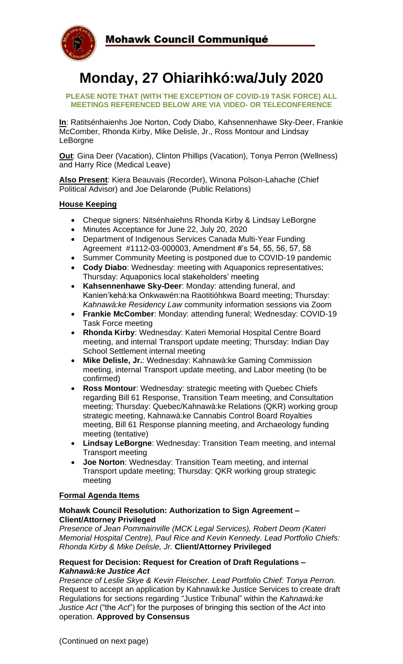

# **Monday, 27 Ohiarihkó:wa/July 2020**

#### **PLEASE NOTE THAT (WITH THE EXCEPTION OF COVID-19 TASK FORCE) ALL MEETINGS REFERENCED BELOW ARE VIA VIDEO- OR TELECONFERENCE**

**In**: Ratitsénhaienhs Joe Norton, Cody Diabo, Kahsennenhawe Sky-Deer, Frankie McComber, Rhonda Kirby, Mike Delisle, Jr., Ross Montour and Lindsay LeBorgne

**Out**: Gina Deer (Vacation), Clinton Phillips (Vacation), Tonya Perron (Wellness) and Harry Rice (Medical Leave)

**Also Present**: Kiera Beauvais (Recorder), Winona Polson-Lahache (Chief Political Advisor) and Joe Delaronde (Public Relations)

#### **House Keeping**

- Cheque signers: Nitsénhaiehns Rhonda Kirby & Lindsay LeBorgne
- Minutes Acceptance for June 22, July 20, 2020
- Department of Indigenous Services Canada Multi-Year Funding Agreement #1112-03-000003, Amendment #'s 54, 55, 56, 57, 58
- Summer Community Meeting is postponed due to COVID-19 pandemic
- **Cody Diabo**: Wednesday: meeting with Aquaponics representatives; Thursday: Aquaponics local stakeholders' meeting
- **Kahsennenhawe Sky-Deer**: Monday: attending funeral, and Kanien'kehá:ka Onkwawén:na Raotitióhkwa Board meeting; Thursday: *Kahnawà:ke Residency Law* community information sessions via Zoom
- **Frankie McComber**: Monday: attending funeral; Wednesday: COVID-19 Task Force meeting
- **Rhonda Kirby**: Wednesday: Kateri Memorial Hospital Centre Board meeting, and internal Transport update meeting; Thursday: Indian Day School Settlement internal meeting
- **Mike Delisle, Jr.**: Wednesday: Kahnawà:ke Gaming Commission meeting, internal Transport update meeting, and Labor meeting (to be confirmed)
- **Ross Montour**: Wednesday: strategic meeting with Quebec Chiefs regarding Bill 61 Response, Transition Team meeting, and Consultation meeting; Thursday: Quebec/Kahnawà:ke Relations (QKR) working group strategic meeting, Kahnawà:ke Cannabis Control Board Royalties meeting, Bill 61 Response planning meeting, and Archaeology funding meeting (tentative)
- **Lindsay LeBorgne**: Wednesday: Transition Team meeting, and internal Transport meeting
- **Joe Norton**: Wednesday: Transition Team meeting, and internal Transport update meeting; Thursday: QKR working group strategic meeting

### **Formal Agenda Items**

### **Mohawk Council Resolution: Authorization to Sign Agreement – Client/Attorney Privileged**

*Presence of Jean Pommainville (MCK Legal Services), Robert Deom (Kateri Memorial Hospital Centre), Paul Rice and Kevin Kennedy. Lead Portfolio Chiefs: Rhonda Kirby & Mike Delisle, Jr.* **Client/Attorney Privileged**

#### **Request for Decision: Request for Creation of Draft Regulations –** *Kahnawà:ke Justice Act*

*Presence of Leslie Skye & Kevin Fleischer. Lead Portfolio Chief: Tonya Perron.*  Request to accept an application by Kahnawà:ke Justice Services to create draft Regulations for sections regarding "Justice Tribunal" within the *Kahnawà:ke Justice Act* ("the *Act*") for the purposes of bringing this section of the *Act* into operation. **Approved by Consensus**